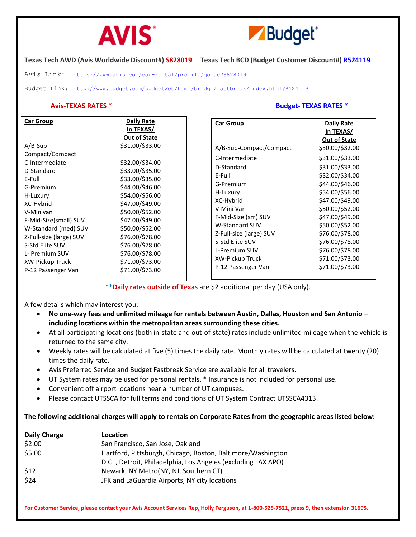



**Texas Tech AWD (Avis Worldwide Discount#) S828019 Texas Tech BCD (Budget Customer Discount#) R524119**

Avis Link: <https://www.avis.com/car-rental/profile/go.ac?S828019>

Budget Link: <http://www.budget.com/budgetWeb/html/bridge/fastbreak/index.html?R524119>

# **Avis-TEXAS RATES \* Budget- TEXAS RATES \***

| <b>Car Group</b><br>$A/B-Sub-$<br>Compact/Compact<br>C-Intermediate<br>D-Standard<br>E-Full<br>G-Premium<br>H-Luxury<br>XC-Hybrid<br>V-Minivan<br>F-Mid-Size(small) SUV<br>W-Standard (med) SUV<br>Z-Full-size (large) SUV<br>S-Std Elite SUV<br>L- Premium SUV | Daily Rate<br>In TEXAS/<br><b>Out of State</b><br>\$31.00/\$33.00<br>\$32.00/\$34.00<br>\$33.00/\$35.00<br>\$33.00/\$35.00<br>\$44.00/\$46.00<br>\$54.00/\$56.00<br>\$47.00/\$49.00<br>\$50.00/\$52.00<br>\$47.00/\$49.00<br>\$50.00/\$52.00<br>\$76.00/\$78.00<br>\$76.00/\$78.00<br>\$76.00/\$78.00 | <b>Car Group</b><br>A/B-Sub-Compact/Compact<br>C-Intermediate<br>D-Standard<br>E-Full<br>G-Premium<br>H-Luxury<br>XC-Hybrid<br>V-Mini Van<br>F-Mid-Size (sm) SUV<br>W-Standard SUV<br>Z-Full-size (large) SUV<br>S-Std Elite SUV<br>L-Premium SUV | <b>Daily Rate</b><br>In TEXAS/<br><b>Out of State</b><br>\$30.00/\$32.00<br>\$31.00/\$33.00<br>\$31.00/\$33.00<br>\$32.00/\$34.00<br>\$44.00/\$46.00<br>\$54.00/\$56.00<br>\$47.00/\$49.00<br>\$50.00/\$52.00<br>\$47.00/\$49.00<br>\$50.00/\$52.00<br>\$76.00/\$78.00<br>\$76.00/\$78.00<br>\$76.00/\$78.00 |
|-----------------------------------------------------------------------------------------------------------------------------------------------------------------------------------------------------------------------------------------------------------------|-------------------------------------------------------------------------------------------------------------------------------------------------------------------------------------------------------------------------------------------------------------------------------------------------------|---------------------------------------------------------------------------------------------------------------------------------------------------------------------------------------------------------------------------------------------------|--------------------------------------------------------------------------------------------------------------------------------------------------------------------------------------------------------------------------------------------------------------------------------------------------------------|
| XW-Pickup Truck                                                                                                                                                                                                                                                 | \$71.00/\$73.00                                                                                                                                                                                                                                                                                       | XW-Pickup Truck                                                                                                                                                                                                                                   | \$71.00/\$73.00                                                                                                                                                                                                                                                                                              |
| P-12 Passenger Van                                                                                                                                                                                                                                              | \$71.00/\$73.00                                                                                                                                                                                                                                                                                       | P-12 Passenger Van                                                                                                                                                                                                                                | \$71.00/\$73.00                                                                                                                                                                                                                                                                                              |

**\*\*Daily rates outside of Texas** are \$2 additional per day (USA only).

A few details which may interest you:

- **No one-way fees and unlimited mileage for rentals between Austin, Dallas, Houston and San Antonio – including locations within the metropolitan areas surrounding these cities.**
- At all participating locations (both in-state and out-of-state) rates include unlimited mileage when the vehicle is returned to the same city.
- Weekly rates will be calculated at five (5) times the daily rate. Monthly rates will be calculated at twenty (20) times the daily rate.
- Avis Preferred Service and Budget Fastbreak Service are available for all travelers.
- UT System rates may be used for personal rentals. \* Insurance is not included for personal use.
- Convenient off airport locations near a number of UT campuses.
- Please contact UTSSCA for full terms and conditions of UT System Contract UTSSCA4313.

**The following additional charges will apply to rentals on Corporate Rates from the geographic areas listed below:**

| <b>Daily Charge</b> | Location                                                     |
|---------------------|--------------------------------------------------------------|
| \$2.00              | San Francisco, San Jose, Oakland                             |
| \$5.00              | Hartford, Pittsburgh, Chicago, Boston, Baltimore/Washington  |
|                     | D.C., Detroit, Philadelphia, Los Angeles (excluding LAX APO) |
| \$12                | Newark, NY Metro(NY, NJ, Southern CT)                        |
| \$24                | JFK and LaGuardia Airports, NY city locations                |